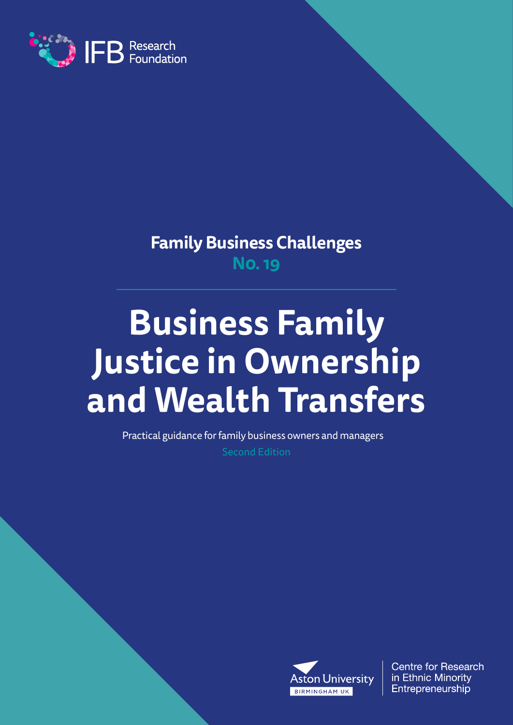

**Family Business Challenges N0. 19**

# **Business Family Justice in Ownership and Wealth Transfers**

Practical guidance for family business owners and managers

Second Edition



**Centre for Research** in Ethnic Minority Entrepreneurship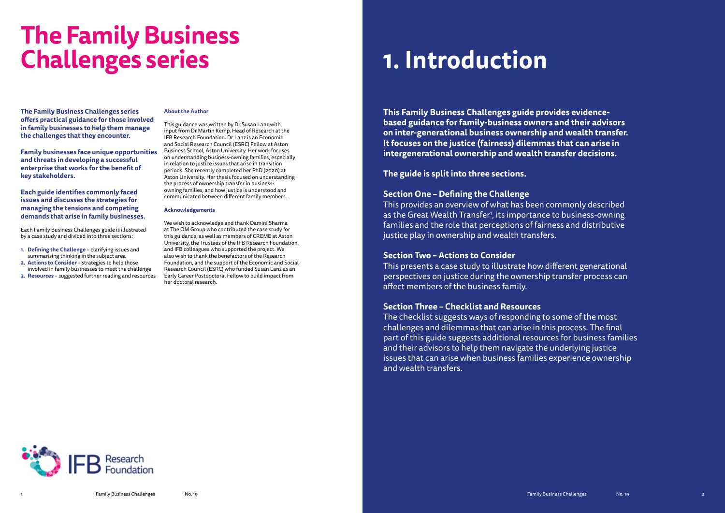**The Family Business Challenges series offers practical guidance for those involved in family businesses to help them manage the challenges that they encounter.**

**Family businesses face unique opportunities and threats in developing a successful enterprise that works for the benefit of key stakeholders.**

**Each guide identifies commonly faced issues and discusses the strategies for managing the tensions and competing demands that arise in family businesses.**

Each Family Business Challenges guide is illustrated by a case study and divided into three sections:

- **1. Defining the Challenge** clarifying issues and summarising thinking in the subject area
- **2. Actions to Consider** strategies to help those involved in family businesses to meet the challenge
- **3. Resources** suggested further reading and resources

## **About the Author**

This guidance was written by Dr Susan Lanz with input from Dr Martin Kemp, Head of Research at the IFB Research Foundation. Dr Lanz is an Economic and Social Research Council (ESRC) Fellow at Aston Business School, Aston University. Her work focuses on understanding business-owning families, especially in relation to justice issues that arise in transition periods. She recently completed her PhD (2020) at Aston University. Her thesis focused on understanding the process of ownership transfer in businessowning families, and how justice is understood and communicated between different family members.

## **Acknowledgements**

We wish to acknowledge and thank Damini Sharma at The OM Group who contributed the case study for this guidance, as well as members of CREME at Aston University, the Trustees of the IFB Research Foundation, and IFB colleagues who supported the project. We also wish to thank the benefactors of the Research Foundation, and the support of the Economic and Social Research Council (ESRC) who funded Susan Lanz as an Early Career Postdoctoral Fellow to build impact from her doctoral research.

# **The Family Business Challenges series**

**This Family Business Challenges guide provides evidencebased guidance for family-business owners and their advisors on inter-generational business ownership and wealth transfer. It focuses on the justice (fairness) dilemmas that can arise in intergenerational ownership and wealth transfer decisions.** 

## **The guide is split into three sections.**

## **Section One – Defining the Challenge**

This provides an overview of what has been commonly described as the Great Wealth Transfer<sup>1</sup>, its importance to business-owning families and the role that perceptions of fairness and distributive justice play in ownership and wealth transfers.

## **Section Two – Actions to Consider**

This presents a case study to illustrate how different generational perspectives on justice during the ownership transfer process can affect members of the business family.

## **Section Three – Checklist and Resources**

The checklist suggests ways of responding to some of the most challenges and dilemmas that can arise in this process. The final part of this guide suggests additional resources for business families and their advisors to help them navigate the underlying justice issues that can arise when business families experience ownership and wealth transfers.



# **1. Introduction**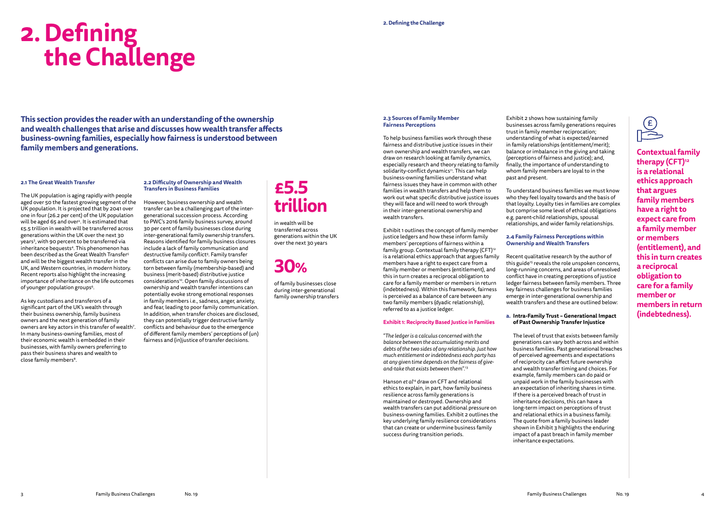## **2.1 The Great Wealth Transfer**

The UK population is aging rapidly with people aged over 50 the fastest growing segment of the UK population. It is projected that by 2041 over one in four (26.2 per cent) of the UK population will be aged 65 and over<sup>2</sup>. It is estimated that £5.5 trillion in wealth will be transferred across generations within the UK over the next 30 years<sup>3</sup>, with 90 percent to be transferred via inheritance bequests<sup>4</sup>. This phenomenon has been described as the Great Wealth Transfer<sup>5</sup> and will be the biggest wealth transfer in the UK, and Western countries, in modern history. Recent reports also highlight the increasing importance of inheritance on the life outcomes of younger population groups<sup>6</sup>.

As key custodians and transferors of a significant part of the UK's wealth through their business ownership, family business owners and the next generation of family owners are key actors in this transfer of wealth<sup>7</sup>. In many business-owning families, most of their economic wealth is embedded in their businesses, with family owners preferring to pass their business shares and wealth to close family members<sup>8</sup>.

However, business ownership and wealth transfer can be a challenging part of the intergenerational succession process. According to PWC's 2016 family business survey, around 30 per cent of family businesses close during inter-generational family ownership transfers. Reasons identified for family business closures include a lack of family communication and destructive family conflict<sup>9</sup>. Family transfer conflicts can arise due to family owners being torn between family (membership-based) and business (merit-based) distributive justice considerations<sup>10</sup>. Open family discussions of ownership and wealth transfer intentions can potentially evoke strong emotional responses in family members i.e., sadness, anger, anxiety, and fear, leading to poor family communication. In addition, when transfer choices are disclosed, they can potentially trigger destructive family conflicts and behaviour due to the emergence of different family members' perceptions of (un) fairness and (in)iustice of transfer decisions.

## **2.2 Difficulty of Ownership and Wealth Transfers in Business Families**

# **2. Defining the Challenge**

## **£5.5 trillion**

Hanson *et al<sup>14</sup>* draw on CFT and relational ethics to explain, in part, how family business resilience across family generations is maintained or destroyed. Ownership and wealth transfers can put additional pressure on business-owning families. Exhibit 2 outlines the key underlying family resilience considerations that can create or undermine business family success during transition periods.

in wealth will be transferred across generations within the UK over the next 30 years

**30%**

of family businesses close during inter-generational family ownership transfers

**This section provides the reader with an understanding of the ownership and wealth challenges that arise and discusses how wealth transfer affects business-owning families, especially how fairness is understood between family members and generations.**

## **2.3 Sources of Family Member Fairness Perceptions**

To help business families work through these fairness and distributive justice issues in their own ownership and wealth transfers, we can draw on research looking at family dynamics, especially research and theory relating to family solidarity-conflict dynamics<sup>11</sup>. This can help business-owning families understand what fairness issues they have in common with other families in wealth transfers and help them to work out what specific distributive justice issues they will face and will need to work through in their inter-generational ownership and wealth transfers.

Exhibit 1 outlines the concept of family member justice ledgers and how these inform family members' perceptions of fairness within a family group. Contextual family therapy  $(CFT)^n$ is a relational ethics approach that argues family members have a right to expect care from a family member or members (entitlement), and this in turn creates a reciprocal obligation to care for a family member or members in return (indebtedness). Within this framework, fairness is perceived as a balance of care between any two family members (dyadic relationship), referred to as a justice ledger.

## **Exhibit 1: Reciprocity Based Justice in Families**

"*The ledger is a calculus concerned with the balance between the accumulating merits and debts of the two sides of any relationship. Just how much entitlement or indebtedness each party has at any given time depends on the fairness of giveand-take that exists between them*".13

Exhibit 2 shows how sustaining family businesses across family generations requires trust in family member reciprocation; understanding of what is expected/earned in family relationships (entitlement/merit); balance or imbalance in the giving and taking (perceptions of fairness and justice); and, finally, the importance of understanding to whom family members are loyal to in the past and present.

To understand business families we must know who they feel loyalty towards and the basis of that loyalty. Loyalty ties in families are complex but comprise some level of ethical obligations e.g. parent-child relationships, spousal relationships, and wider family relationships.

## **2.4 Family Fairness Perceptions within Ownership and Wealth Transfers**

Recent qualitative research by the author of this guide<sup>15</sup> reveals the role unspoken concerns, long-running concerns, and areas of unresolved conflict have in creating perceptions of justice ledger fairness between family members. Three key fairness challenges for business families emerge in inter-generational ownership and wealth transfers and these are outlined below:

## **a. Intra-Family Trust – Generational Impact of Past Ownership Transfer Injustice**

 The level of trust that exists between family generations can vary both across and within business families. Past generational breaches of perceived agreements and expectations of reciprocity can affect future ownership and wealth transfer timing and choices. For example, family members can do paid or unpaid work in the family businesses with an expectation of inheriting shares in time. If there is a perceived breach of trust in inheritance decisions, this can have a long-term impact on perceptions of trust and relational ethics in a business family. The quote from a family business leader shown in Exhibit 3 highlights the enduring impact of a past breach in family member inheritance expectations.

**Contextual family therapy (CFT)12 is a relational ethics approach that argues family members have a right to expect care from a family member or members (entitlement), and this in turn creates a reciprocal obligation to care for a family member or members in return (indebtedness).**

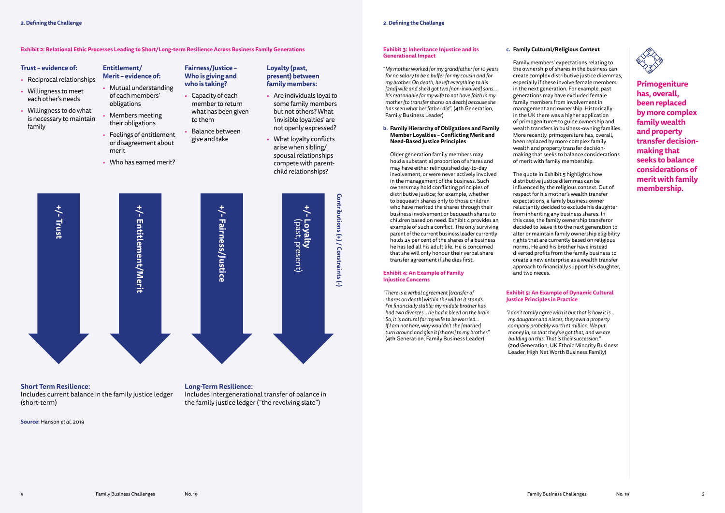## **Trust – evidence of:**

- Reciprocal relationships
- Willingness to meet each other's needs
- Willingness to do what is necessary to maintain family

## **Entitlement/ Merit – evidence of:**

- Mutual understanding of each members' obligations
- Members meeting their obligations
- Feelings of entitlement or disagreement about merit
- Who has earned merit?

## **Fairness/Justice – Who is giving and who is taking?**

- Capacity of each member to return what has been given to them
- Balance between give and take

## **Loyalty (past, present) between family members:**

- Are individuals loyal to some family members but not others? What 'invisible loyalties' are not openly expressed?
- What loyalty conflicts arise when sibling/ spousal relationships compete with parentchild relationships?

## **Short Term Resilience:**

Includes current balance in the family justice ledger (short-term)

**Long-Term Resilience:**

Includes intergenerational transfer of balance in the family justice ledger ("the revolving slate")

**Source:** Hanson *et al*, 2019

## **Exhibit 2: Relational Ethic Processes Leading to Short/Long-term Resilience Across Business Family Generations**



## **Exhibit 3: Inheritance Injustice and its Generational Impact**

"*My mother worked for my grandfather for 10 years for no salary to be a buffer for my cousin and for my brother. On death, he left everything to his [2nd] wife and she'd got two [non-involved] sons... It's reasonable for my wife to not have faith in my mother [to transfer shares on death] because she has seen what her father did*". (4th Generation, Family Business Leader)

**b. Family Hierarchy of Obligations and Family Member Loyalties – Conflicting Merit and Need-Based Justice Principles**

 Older generation family members may hold a substantial proportion of shares and may have either relinquished day-to-day involvement, or were never actively involved in the management of the business. Such owners may hold conflicting principles of distributive justice; for example, whether to bequeath shares only to those children who have merited the shares through their business involvement or bequeath shares to children based on need. Exhibit 4 provides an example of such a conflict. The only surviving parent of the current business leader currently holds 25 per cent of the shares of a business he has led all his adult life. He is concerned that she will only honour their verbal share transfer agreement if she dies first.

## **Exhibit 4: An Example of Family Injustice Concerns**

*"There is a verbal agreement [transfer of shares on death] within the will as it stands. I'm financially stable; my middle brother has had two divorces… he had a bleed on the brain. So, it is natural for my wife to be worried… If I am not here, why wouldn't she [mother] turn around and give it [shares] to my brother."* (4th Generation, Family Business Leader)

## **c. Family Cultural/Religious Context**



 Family members' expectations relating to the ownership of shares in the business can create complex distributive justice dilemmas, especially if these involve female members in the next generation. For example, past generations may have excluded female family members from involvement in management and ownership. Historically in the UK there was a higher application of primogeniture16 to guide ownership and wealth transfers in business-owning families. More recently, primogeniture has, overall, been replaced by more complex family wealth and property transfer decisionmaking that seeks to balance considerations of merit with family membership.

 The quote in Exhibit 5 highlights how distributive justice dilemmas can be influenced by the religious context. Out of respect for his mother's wealth transfer expectations, a family business owner reluctantly decided to exclude his daughter from inheriting any business shares. In this case, the family ownership transferor decided to leave it to the next generation to alter or maintain family ownership eligibility rights that are currently based on religious norms. He and his brother have instead diverted profits from the family business to create a new enterprise as a wealth transfer approach to financially support his daughter, and two nieces.

## **Exhibit 5: An Example of Dynamic Cultural Justice Principles in Practice**

*"I don't totally agree with it but that is how it is… my daughter and nieces, they own a property company probably worth £1 million. We put money in, so that they've got that, and we are building on this. That is their succession."* (2nd Generation, UK Ethnic Minority Business Leader, High Net Worth Business Family)

**Primogeniture has, overall, been replaced by more complex family wealth and property transfer decisionmaking that seeks to balance considerations of merit with family membership.**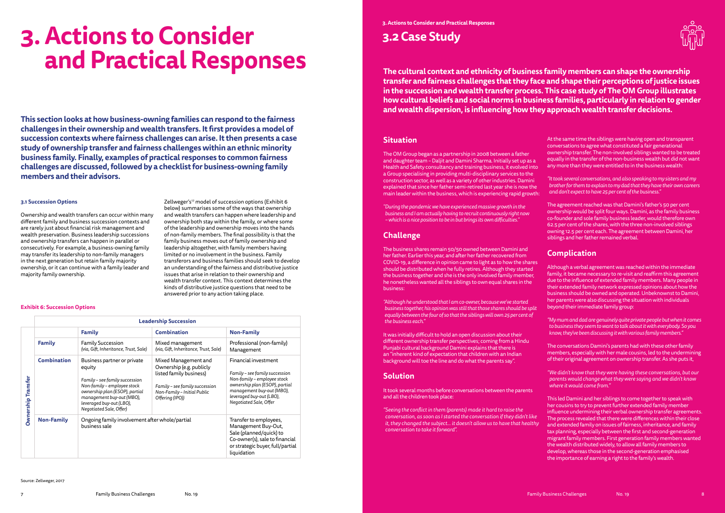## **3.1 Succession Options**

Ownership and wealth transfers can occur within many different family and business succession contexts and are rarely just about financial risk management and wealth preservation. Business leadership successions and ownership transfers can happen in parallel or consecutively. For example, a business-owning family may transfer its leadership to non-family managers in the next generation but retain family majority ownership, or it can continue with a family leader and majority family ownership.

Zellweger's<sup>17</sup> model of succession options (Exhibit 6 below) summarises some of the ways that ownership and wealth transfers can happen where leadership and ownership both stay within the family, or where some of the leadership and ownership moves into the hands of non-family members. The final possibility is that the family business moves out of family ownership and leadership altogether, with family members having limited or no involvement in the business. Family transferors and business families should seek to develop an understanding of the fairness and distributive justice issues that arise in relation to their ownership and wealth transfer context. This context determines the kinds of distributive justice questions that need to be answered prior to any action taking place.

# **3. Actions to Consider and Practical Responses**

**This section looks at how business-owning families can respond to the fairness challenges in their ownership and wealth transfers. It first provides a model of succession contexts where fairness challenges can arise. It then presents a case study of ownership transfer and fairness challenges within an ethnic minority business family. Finally, examples of practical responses to common fairness challenges are discussed, followed by a checklist for business-owning family members and their advisors.**

|                              | <b>Leadership Succession</b> |                                                                                                                                                                                                                              |                                                                                                                                                                 |                                                                                                                                                                                                            |
|------------------------------|------------------------------|------------------------------------------------------------------------------------------------------------------------------------------------------------------------------------------------------------------------------|-----------------------------------------------------------------------------------------------------------------------------------------------------------------|------------------------------------------------------------------------------------------------------------------------------------------------------------------------------------------------------------|
|                              |                              | <b>Family</b>                                                                                                                                                                                                                | <b>Combination</b>                                                                                                                                              | <b>Non-Family</b>                                                                                                                                                                                          |
| <b>Transfer</b><br>Ownership | <b>Family</b>                | <b>Family Succession</b><br>(via, Gift, Inheritance, Trust, Sale)                                                                                                                                                            | Mixed management<br>(via, Gift, Inheritance, Trust, Sale)                                                                                                       | Professional (non-family)<br>Management                                                                                                                                                                    |
|                              | <b>Combination</b>           | Business partner or private<br>equity<br>Family - see family succession<br>Non-family - employee stock<br>ownership plan (ESOP), partial<br>management buy-out (MBO),<br>leveraged buy-out (LBO),<br>Negotiated Sale, Offer) | Mixed Management and<br>Ownership (e.g. publicly<br>listed family business)<br>Family - see family succession<br>Non-Family - Initial Public<br>Offering (IPO)) | Financial investment<br>Family - see family succession<br>Non-family - employee stock<br>ownership plan (ESOP), partial<br>management buy-out (MBO),<br>leveraged buy-out (LBO),<br>Negotiated Sale, Offer |
|                              | <b>Non-Family</b>            | Ongoing family involvement after whole/partial<br>business sale                                                                                                                                                              |                                                                                                                                                                 | Transfer to employees,<br>Management Buy-Out,<br>Sale (planned/quick) to<br>Co-owner(s), sale to financial<br>or strategic buyer, full/partial<br>liquidation                                              |

Source: Zellweger, 2017

## **Exhibit 6: Succession Options**

## **3.2 Case Study**

## **Situation**

The OM Group began as a partnership in 2008 between a father and daughter team – Daljit and Damini Sharma. Initially set up as a Health and Safety consultancy and training business, it evolved into a Group specialising in providing multi-disciplinary services to the construction sector, as well as a variety of other industries. Damini explained that since her father semi-retired last year she is now the main leader within the business, which is experiencing rapid growth:

*"During the pandemic we have experienced massive growth in the business and I am actually having to recruit continuously right now – which is a nice position to be in but brings its own difficulties."*

## **Challenge**

The business shares remain 50/50 owned between Damini and her father. Earlier this year, and after her father recovered from COVID-19, a difference in opinion came to light as to how the shares should be distributed when he fully retires. Although they started the business together and she is the only involved family member, he nonetheless wanted all the siblings to own equal shares in the business:

*"Although he understood that I am co-owner, because we've started business together, his opinion was still that those shares should be split equally between the four of so that the siblings will own 25 per cent of the business each."*

It was initially difficult to hold an open discussion about their different ownership transfer perspectives; coming from a Hindu Punjabi cultural background Damini explains that there is an "inherent kind of expectation that children with an Indian background will toe the line and do what the parents say".

## **Solution**

It took several months before conversations between the parents and all the children took place:

*"Seeing the conflict in them (parents) made it hard to raise the conversation, as soon as I started the conversation if they didn't like it, they changed the subject… it doesn't allow us to have that healthy conversation to take it forward".* 



At the same time the siblings were having open and transparent conversations to agree what constituted a fair generational ownership transfer. The non-involved siblings wanted to be treated equally in the transfer of the non-business wealth but did not want any more than they were entitled to in the business wealth:

*"It took several conversations, and also speaking to my sisters and my brother for them to explain to my dad that they have their own careers and don't expect to have 25 per cent of the business."*

The agreement reached was that Damini's father's 50 per cent ownership would be split four ways. Damini, as the family business co-founder and sole family business leader, would therefore own 62.5 per cent of the shares, with the three non-involved siblings owning 12.5 per cent each. The agreement between Damini, her siblings and her father remained verbal.

## **Complication**

Although a verbal agreement was reached within the immediate family, it became necessary to re-visit and reaffirm this agreement due to the influence of extended family members. Many people in their extended family network expressed opinions about how the business should be owned and operated. Unbeknownst to Damini, her parents were also discussing the situation with individuals beyond their immediate family group:

*"My mum and dad are genuinely quite private people but when it comes to business they seem to want to talk about it with everybody. So you know, they've been discussing it with various family members."*

The conversations Damini's parents had with these other family members, especially with her male cousins, led to the undermining of their original agreement on ownership transfer. As she puts it,

*"We didn't know that they were having these conversations, but our parents would change what they were saying and we didn't know where it would come from."*

This led Damini and her siblings to come together to speak with her cousins to try to prevent further extended family member influence undermining their verbal ownership transfer agreements. The process revealed that there were differences within their close and extended family on issues of fairness, inheritance, and family tax planning, especially between the first and second-generation migrant family members. First generation family members wanted the wealth distributed widely, to allow all family members to develop, whereas those in the second-generation emphasised the importance of earning a right to the family's wealth.

**The cultural context and ethnicity of business family members can shape the ownership transfer and fairness challenges that they face and shape their perceptions of justice issues in the succession and wealth transfer process. This case study of The OM Group illustrates how cultural beliefs and social norms in business families, particularly in relation to gender and wealth dispersion, is influencing how they approach wealth transfer decisions.**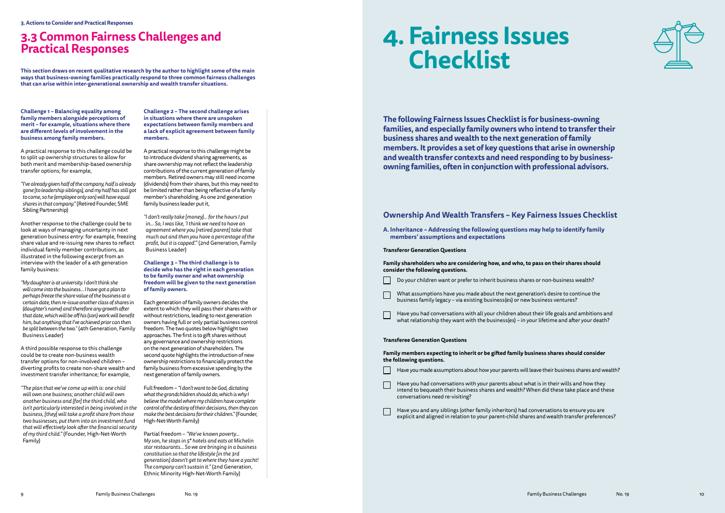**Challenge 1 – Balancing equality among family members alongside perceptions of merit – for example, situations where there are different levels of involvement in the business among family members.** 

A practical response to this challenge could be to split up ownership structures to allow for both merit and membership-based ownership transfer options; for example,

*"I've already given half of the company, half is already gone [to leadership siblings], and my half has still got to come, so he (employee only son) will have equal shares in that company."* (Retired Founder, SME Sibling Partnership)

Another response to the challenge could be to look at ways of managing uncertainty in next generation business entry: for example, freezing share value and re-issuing new shares to reflect individual family member contributions, as illustrated in the following excerpt from an interview with the leader of a 4th generation family business:

*"My daughter is at university. I don't think she will come into the business… I have got a plan to perhaps freeze the share value of the business at a certain date, then re-issue another class of shares in (daughter's name) and therefore any growth after that date, which will be off his (son) work will benefit him, but anything that I've achieved prior can then be split between the two."* (4th Generation, Family Business Leader)

A third possible response to this challenge could be to create non-business wealth transfer options for non-involved children – diverting profits to create non-share wealth and investment transfer inheritance; for example,

*"The plan that we've come up with is: one child will own one business; another child will own another business and [for] the third child, who isn't particularly interested in being involved in the business, [they] will take a profit share from those two businesses, put them into an investment fund that will effectively look after the financial security of my third child."* (Founder, High-Net-Worth Family)

**Challenge 2 – The second challenge arises in situations where there are unspoken expectations between family members and a lack of explicit agreement between family members.**

A practical response to this challenge might be to introduce dividend sharing agreements, as share ownership may not reflect the leadership contributions of the current generation of family members. Retired owners may still need income (dividends) from their shares, but this may need to be limited rather than being reflective of a family member's shareholding. As one 2nd generation family business leader put it,

> What assumptions have you made about the next generation's desire to continue the business family legacy – via existing business(es) or new business ventures?

Have you had conversations with all your children about their life goals and ambitions and what relationship they want with the business(es) – in your lifetime and after your death?

*"I don't really take [money]… for the hours I put in… So, I was like, 'I think we need to have an agreement where you [retired parent] take that much out and then you have a percentage of the profit, but it is capped'."* (2nd Generation, Family Business Leader)

- Have you made assumptions about how your parents will leave their business shares and wealth?
- Have you had conversations with your parents about what is in their wills and how they intend to bequeath their business shares and wealth? When did these take place and these conversations need re-visiting?

**Challenge 3 – The third challenge is to decide who has the right in each generation to be family owner and what ownership freedom will be given to the next generation of family owners.** 

> Have you and any siblings (other family inheritors) had conversations to ensure you are explicit and aligned in relation to your parent-child shares and wealth transfer preferences?

Each generation of family owners decides the extent to which they will pass their shares with or without restrictions, leading to next generation owners having full or only partial business control freedom. The two quotes below highlight two approaches. The first is to gift shares without any governance and ownership restrictions on the next generation of shareholders. The second quote highlights the introduction of new ownership restrictions to financially protect the family business from excessive spending by the next generation of family owners.

Full freedom – *"I don't want to be God, dictating what the grandchildren should do, which is why I believe the model where my children have complete control of the destiny of their decisions, then they can make the best decisions for their children."* (Founder, High-Net-Worth Family)

Partial freedom – *"We've known poverty… My son, he stops in 5\* hotels and eats at Michelin star restaurants… So we are bringing in a business constitution so that the lifestyle [in the 3rd generation] doesn't get to where they have a yacht! The company can't sustain it."* (2nd Generation, Ethnic Minority High-Net-Worth Family)

## **3.3 Common Fairness Challenges and Practical Responses**

**This section draws on recent qualitative research by the author to highlight some of the main ways that business-owning families practically respond to three common fairness challenges that can arise within inter-generational ownership and wealth transfer situations.**

## **Ownership And Wealth Transfers – Key Fairness Issues Checklist**

**A. Inheritance – Addressing the following questions may help to identify family members' assumptions and expectations**

**Transferor Generation Questions**

**Family shareholders who are considering how, and who, to pass on their shares should consider the following questions.**

Do your children want or prefer to inherit business shares or non-business wealth?

## **Transferee Generation Questions**

**Family members expecting to inherit or be gifted family business shares should consider the following questions.**

# **4. Fairness Issues Checklist**

**The following Fairness Issues Checklist is for business-owning families, and especially family owners who intend to transfer their business shares and wealth to the next generation of family members. It provides a set of key questions that arise in ownership and wealth transfer contexts and need responding to by businessowning families, often in conjunction with professional advisors.**



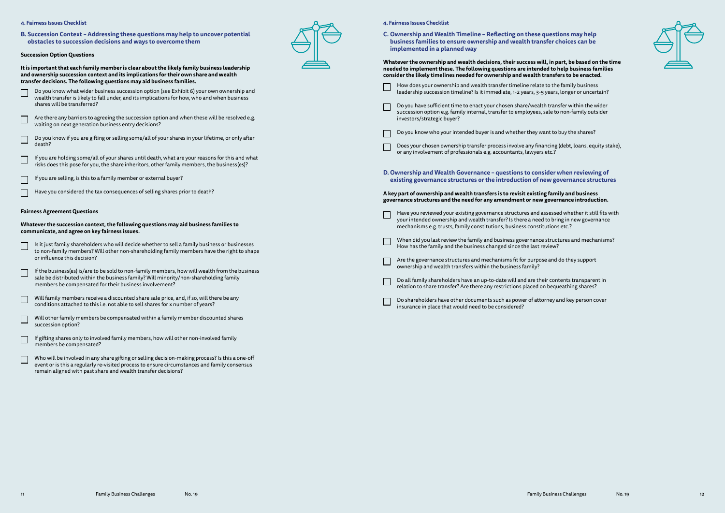**B. Succession Context – Addressing these questions may help to uncover potential obstacles to succession decisions and ways to overcome them**

## **Succession Option Questions**

**It is important that each family member is clear about the likely family business leadership and ownership succession context and its implications for their own share and wealth transfer decisions. The following questions may aid business families.**

 Do you know what wider business succession option (see Exhibit 6) your own ownership and wealth transfer is likely to fall under, and its implications for how, who and when business

shares will be transferred?

Are there any barriers to agreeing the succession option and when these will be resolved e.g.

waiting on next generation business entry decisions?

Do you know if you are gifting or selling some/all of your shares in your lifetime, or only after

death?

 If you are holding some/all of your shares until death, what are your reasons for this and what risks does this pose for you, the share inheritors, other family members, the business(es)?



If you are selling, is this to a family member or external buyer?

Have you considered the tax consequences of selling shares prior to death?

**Fairness Agreement Questions**

**Whatever the succession context, the following questions may aid business families to communicate, and agree on key fairness issues.**

- Is it just family shareholders who will decide whether to sell a family business or businesses to non-family members? Will other non-shareholding family members have the right to shape or influence this decision?
- If the business(es) is/are to be sold to non-family members, how will wealth from the business sale be distributed within the business family? Will minority/non-shareholding family members be compensated for their business involvement?
- Will family members receive a discounted share sale price, and, if so, will there be any conditions attached to this i.e. not able to sell shares for x number of years?
- Will other family members be compensated within a family member discounted shares succession option?
- If gifting shares only to involved family members, how will other non-involved family members be compensated?
- Who will be involved in any share gifting or selling decision-making process? Is this a one-off event or is this a regularly re-visited process to ensure circumstances and family consensus remain aligned with past share and wealth transfer decisions?



## **4. Fairness Issues Checklist**

**C. Ownership and Wealth Timeline – Reflecting on these questions may help business families to ensure ownership and wealth transfer choices can be implemented in a planned way**

**Whatever the ownership and wealth decisions, their success will, in part, be based on the time needed to implement these. The following questions are intended to help business families consider the likely timelines needed for ownership and wealth transfers to be enacted.** 

- How does your ownership and wealth transfer timeline relate to the family business  $\Box$ leadership succession timeline? Is it immediate, 1-2 years, 3-5 years, longer or uncertain?
	- Do you have sufficient time to enact your chosen share/wealth transfer within the wider succession option e.g. family internal, transfer to employees, sale to non-family outsider investors/strategic buyer?



- Does your chosen ownership transfer process involve any financing (debt, loans, equity stake), or any involvement of professionals e.g. accountants, lawyers etc.?
- **D. Ownership and Wealth Governance questions to consider when reviewing of existing governance structures or the introduction of new governance structures**

## **A key part of ownership and wealth transfers is to revisit existing family and business governance structures and the need for any amendment or new governance introduction.**

- Have you reviewed your existing governance structures and assessed whether it still fits with your intended ownership and wealth transfer? Is there a need to bring in new governance mechanisms e.g. trusts, family constitutions, business constitutions etc.?
- When did you last review the family and business governance structures and mechanisms? How has the family and the business changed since the last review?
- Are the governance structures and mechanisms fit for purpose and do they support ownership and wealth transfers within the business family?
	- Do all family shareholders have an up-to-date will and are their contents transparent in relation to share transfer? Are there any restrictions placed on bequeathing shares?
- Do shareholders have other documents such as power of attorney and key person cover insurance in place that would need to be considered?

## **4. Fairness Issues Checklist**

 $\mathcal{L}^{\mathcal{L}}$ 

 $\mathbb{R}^n$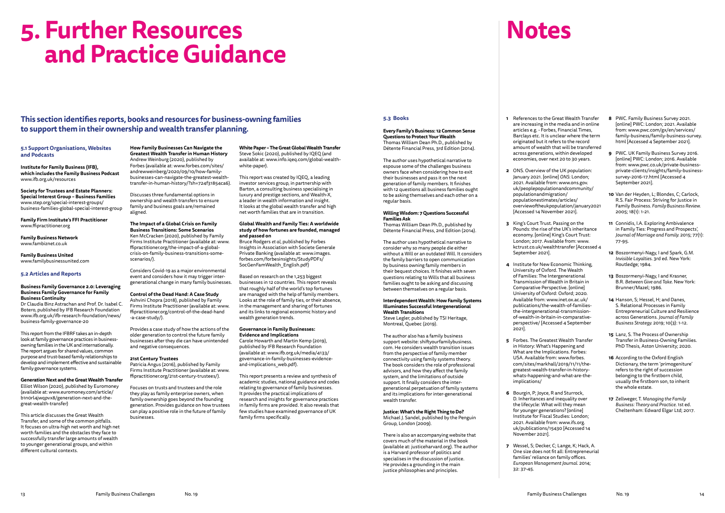# **5. Further Resources and Practice Guidance**

**This section identifies reports, books and resources for business-owning families to support them in their ownership and wealth transfer planning.**

## **5.1 Support Organisations, Websites and Podcasts**

**Institute for Family Business (IFB), which includes the Family Business Podcast** [www.ifb.org.uk/resources](http://www.ifb.org.uk/resources)

**Society for Trustees and Estate Planners: Special Interest Group – Business Families** [www.step.org/special-interest-groups/](http://www.step.org/special-interest-groups/business-families-global-special-interest-group) [business-families-global-special-interest-group](http://www.step.org/special-interest-groups/business-families-global-special-interest-group)

**Family Firm Institute's FFI Practitioner** [www.ffipractitioner.org](http://www.ffipractitioner.org)

**Family Business Network** www.fambiznet.co.uk

**Family Business United** www.familybusinessunited.com

## **5.2 Articles and Reports**

### **Business Family Governance 2.0: Leveraging Business Family Governance for Family Business Continuity**

Dr Claudia Binz Astrachan and Prof. Dr. Isabel C. Botero, published by IFB Research Foundation [www.ifb.org.uk/ifb-research-foundation/news/](http://www.ifb.org.uk/ifb-research-foundation/news/business-family-governance-20) [business-family-governance-20](http://www.ifb.org.uk/ifb-research-foundation/news/business-family-governance-20)

This report from the IFBRF takes an in-depth look at family governance practices in businessowning families in the UK and internationally. The report argues for shared values, common purpose and trust-based family relationships to develop and implement effective and sustainable family governance systems.

**Generation Next and the Great Wealth Transfer** Elliot Wilson (2020), published by Euromoney (available at: [www.euromoney.com/article/](http://www.euromoney.com/article/b1n0rl4jwqpvx8/generation-next-and-the-great-wealth-transfer) [b1n0rl4jwqpvx8/generation-next-and-the](http://www.euromoney.com/article/b1n0rl4jwqpvx8/generation-next-and-the-great-wealth-transfer)[great-wealth-transfer\)](http://www.euromoney.com/article/b1n0rl4jwqpvx8/generation-next-and-the-great-wealth-transfer)

This article discusses the Great Wealth Transfer, and some of the common pitfalls. It focuses on ultra-high net worth and high net worth families and the obstacles they face to successfully transfer large amounts of wealth to younger generational groups, and within different cultural contexts.

**How Family Businesses Can Navigate the Greatest Wealth Transfer in Human History** Andrew Weinburg (2020), published by Forbes (available at: [www.forbes.com/sites/](http://www.ffipractitioner.org/the-impact-of-a-global-crisis-on-family-business-transitions-some-scenarios/) [andrewweinberg/2020/09/10/how-family](http://www.ffipractitioner.org/the-impact-of-a-global-crisis-on-family-business-transitions-some-scenarios/)[businesses-can-navigate-the-greatest-wealth-](http://www.ffipractitioner.org/the-impact-of-a-global-crisis-on-family-business-transitions-some-scenarios/)

[transfer-in-human-history/?sh=724f31854ca6](http://www.ffipractitioner.org/the-impact-of-a-global-crisis-on-family-business-transitions-some-scenarios/)).

Discusses three fundamental options in ownership and wealth transfers to ensure family and business goals are/remained aligned.

### **The Impact of a Global Crisis on Family Business Transitions: Some Scenarios**

Ken McCracken (2020), published by Family Firms Institute Practitioner (available at: [www.](http://www.ffipractitioner.org/the-impact-of-a-global-crisis-on-family-business-transitions-some-scenarios/) [ffipractitioner.org/the-impact-of-a-global](http://www.ffipractitioner.org/the-impact-of-a-global-crisis-on-family-business-transitions-some-scenarios/)[crisis-on-family-business-transitions-some](http://www.ffipractitioner.org/the-impact-of-a-global-crisis-on-family-business-transitions-some-scenarios/)[scenarios/](http://www.ffipractitioner.org/the-impact-of-a-global-crisis-on-family-business-transitions-some-scenarios/)).

Considers Covid-19 as a major environmental event and considers how it may trigger intergenerational change in many family businesses.

**Control of the Dead Hand: A Case Study** Ashvini Chopra (2018), published by Family Firms Institute Practitioner (available at: [www.](http://www.ffipractitioner.org/21st-century-trustees/) [ffipractitioner.org/control-of-the-dead-hand](http://www.ffipractitioner.org/21st-century-trustees/) [-a-case-study/\)](http://www.ffipractitioner.org/21st-century-trustees/).

Provides a case study of how the actions of the older generation to control the future family businesses after they die can have unintended and negative consequences.

## **21st Century Trustees**

Patricia Angus (2016), published by Family Firms Institute Practitioner (available at: [www.](http://www.ffipractitioner.org/21st-century-trustees/) [ffipractitioner.org/21st-century-trustees/\)](http://www.ffipractitioner.org/21st-century-trustees/).

Focuses on trusts and trustees and the role they play as family enterprise owners, when family ownership goes beyond the founding generation. Provides guidance on how trustees can play a positive role in the future of family businesses.

**White Paper – The Great Global Wealth Transfer** Steve Sokic (2020), published by IQEQ (and

available at: [www.info.iqeq.com/global-wealth](https://info.iqeq.com/global-wealth-white-paper)[white-paper\)](https://info.iqeq.com/global-wealth-white-paper).

This report was created by IQEQ, a leading investor services group, in partnership with Barton, a consulting business specialising in luxury and prestige sections, and Wealth-X, a leader in wealth information and insight. It looks at the global wealth transfer and high net worth families that are in transition.

## **Global Wealth and Family Ties: A worldwide study of how fortunes are founded, managed and passed on**

Bruce Rodgers *et al*, published by Forbes Insights in Association with Societe Generale Private Banking (available at: [www.images.](http://www.ifb.org.uk/media/4133/governance-in-family-businesses-evidence-and-implications_web.pdf) [forbes.com/forbesinsights/StudyPDFs/](http://www.ifb.org.uk/media/4133/governance-in-family-businesses-evidence-and-implications_web.pdf) [SocGenFamWealth\\_English.pdf](http://www.ifb.org.uk/media/4133/governance-in-family-businesses-evidence-and-implications_web.pdf))

Based on research on the 1,253 biggest businesses in 12 countries. This report reveals that roughly half of the world's top fortunes are managed with the help of family members. Looks at the role of family ties, or their absence, in the management and sharing of fortunes and its links to regional economic history and wealth generation trends.

## **Governance in Family Businesses: Evidence and Implications**

Carole Howarth and Martin Kemp (2019), published by IFB Research Foundation (available at: [www.ifb.org.uk/media/4133/](http://www.ifb.org.uk/media/4133/governance-in-family-businesses-evidence-and-implications_web.pdf) [governance-in-family-businesses-evidence](http://www.ifb.org.uk/media/4133/governance-in-family-businesses-evidence-and-implications_web.pdf)[and-implications\\_web.pdf\)](http://www.ifb.org.uk/media/4133/governance-in-family-businesses-evidence-and-implications_web.pdf).

This report presents a review and synthesis of academic studies, national guidance and codes relating to governance of family businesses. It provides the practical implications of research and insights for governance practices in family firms are provided. It also reveals that few studies have examined governance of UK family firms specifically.

## **5.3 Books**

## **Every Family's Business: 12 Common Sense Questions to Protect Your Wealth** Thomas William Dean Ph.D., published by Détente Financial Press, 3rd Edition (2014).

The author uses hypothetical narrative to espouse some of the challenges business owners face when considering how to exit their businesses and pass it on the next generation of family members. It finishes with 12 questions all business families ought to be asking themselves and each other on a regular basis.

### **Willing Wisdom: 7 Questions Successful Families Ask**

Thomas William Dean Ph.D., published by Détente Financial Press, 2nd Edition (2014).

The author uses hypothetical narrative to consider why so many people die either without a Will or an outdated Will. It considers the family barriers to open communication by business owning family members in their bequest choices. It finishes with seven questions relating to Wills that all business families ought to be asking and discussing between themselves on a regular basis.

## **Interdependent Wealth: How Family Systems Illuminates Successful Intergenerational Wealth Transitions**

Steve Legler, published by TSI Heritage, Montreal, Quebec (2019).

The author also has a family business support website: shiftyourfamilybusiness. com. He considers wealth transition issues from the perspective of family member connectivity using family systems theory. The book considers the role of professional advisors, and how they affect the family system, and the limitations of outside support. It finally considers the intergenerational perpetuation of family systems and its implications for inter-generational wealth transfer.

## **Justice: What's the Right Thing to Do?**

Michael J. Sandel, published by the Penguin Group, London (2009).

There is also an accompanying website that covers much of the material in the book (available at: justiceharvard.org). The author is a Harvard professor of politics and specialises in the discussion of justice. He provides a grounding in the main justice philosophies and principles.

**1** References to the Great Wealth Transfer are increasing in the media and in online articles e.g. - Forbes, Financial Times, Barclays etc. It is unclear where the term originated but it refers to the record amount of wealth that will be transferred across generations, within developed economies, over next 20 to 30 years.

**2** ONS. Overview of the UK population: January 2021. [online] *ONS*: London; 2021. Available from: [www.ons.gov.](http://www.ons.gov.uk/peoplepopulationandcommunity/populationandmigration/populationestimates/articles/overviewoftheukpopulation/january2021) [uk/peoplepopulationandcommunity/](http://www.ons.gov.uk/peoplepopulationandcommunity/populationandmigration/populationestimates/articles/overviewoftheukpopulation/january2021) [overviewoftheukpopulation/january2021](http://www.ons.gov.uk/peoplepopulationandcommunity/populationandmigration/populationestimates/articles/overviewoftheukpopulation/january2021) 

Pounds: the rise of the UK's inheritance economy. [online] King's Court Trust: London; 2017. Available from: [www.](http://www.kctrust.co.uk/wealthtransfer) [kctrust.co.uk/wealthtransfer](http://www.kctrust.co.uk/wealthtransfer) [Accessed 4

**4** Institute for New Economic Thinking, of Families: The Intergenerational Transmission of Wealth in Britain in Comparative Perspective. [online] University of Oxford: Oxford; 2020. Available from: [www.inet.ox.ac.uk/](http://www.inet.ox.ac.uk/publications/the-wealth-of-families-the-intergenerational-transmission-of-wealth-in-britain-in-comparative-perspective/) [publications/the-wealth-of-families](http://www.inet.ox.ac.uk/publications/the-wealth-of-families-the-intergenerational-transmission-of-wealth-in-britain-in-comparative-perspective/)[the-intergenerational-transmission](http://www.inet.ox.ac.uk/publications/the-wealth-of-families-the-intergenerational-transmission-of-wealth-in-britain-in-comparative-perspective/)[of-wealth-in-britain-in-comparative](http://www.inet.ox.ac.uk/publications/the-wealth-of-families-the-intergenerational-transmission-of-wealth-in-britain-in-comparative-perspective/)[perspective/](http://www.inet.ox.ac.uk/publications/the-wealth-of-families-the-intergenerational-transmission-of-wealth-in-britain-in-comparative-perspective/) [Accessed 4 September

- 
- [populationandmigration/](http://www.ons.gov.uk/peoplepopulationandcommunity/populationandmigration/populationestimates/articles/overviewoftheukpopulation/january2021) [populationestimates/articles/](http://www.ons.gov.uk/peoplepopulationandcommunity/populationandmigration/populationestimates/articles/overviewoftheukpopulation/january2021) [Accessed 14 November 2021].
- **3** King's Court Trust. Passing on the September 2021].
- University of Oxford. The Wealth 2021].
- [implications/](http://www.forbes.com/sites/markhall/2019/11/11/the-greatest-wealth-transfer-in-history-whats-happening-and-what-are-the-implications/
)
- **6** Bourgin, P; Joyce, R and Sturrock, November 2021].
- 32: 37-45.

**5** Forbes. The Greatest Wealth Transfer in History: What's Happening and What are the Implications. Forbes: USA. Available from: [www.forbes.](http://www.forbes.com/sites/markhall/2019/11/11/the-greatest-wealth-transfer-in-history-whats-happening-and-what-are-the-implications/
) [com/sites/markhall/2019/11/11/the](http://www.forbes.com/sites/markhall/2019/11/11/the-greatest-wealth-transfer-in-history-whats-happening-and-what-are-the-implications/
)[greatest-wealth-transfer-in-history](http://www.forbes.com/sites/markhall/2019/11/11/the-greatest-wealth-transfer-in-history-whats-happening-and-what-are-the-implications/
)[whats-happening-and-what-are-the-](http://www.forbes.com/sites/markhall/2019/11/11/the-greatest-wealth-transfer-in-history-whats-happening-and-what-are-the-implications/
)

D. Inheritances and inequality over the lifecycle: What will they mean for younger generations? [online] Institute for Fiscal Studies: London; 2021. Available from: www.ifs.org. uk/publications/15430 [Accessed 14

**7** Wessel, S; Decker, C; Lange, K; Hack, A. One size does not fit all: Entrepreneurial families' reliance on family offices. *European Management Journal*. 2014;

- **8** PWC. Family Business Survey 2021. [online] PWC: London; 2021. Available from: [www.pwc.com/gx/en/services/](http://www.pwc.com/gx/en/services/family-business/family-business-survey.html) [family-business/family-business-survey.](http://www.pwc.com/gx/en/services/family-business/family-business-survey.html) [html](http://www.pwc.com/gx/en/services/family-business/family-business-survey.html) [Accessed 4 September 2021].
- **9** PWC. UK Family Business Survey 2016. [online] PWC: London; 2016. Available from: [www.pwc.co.uk/private-business](http://www.pwc.co.uk/private-business-private-clients/insights/family-business-survey-2016-17.html)[private-clients/insights/family-business](http://www.pwc.co.uk/private-business-private-clients/insights/family-business-survey-2016-17.html)[survey-2016-17.html](http://www.pwc.co.uk/private-business-private-clients/insights/family-business-survey-2016-17.html) [Accessed 4 September 2021].
- **10** Van der Heyden, L; Blondes, C; Carlock, R.S. Fair Process: Striving for Justice in Family Business. *Family Business Review.*  2005; 18(1): 1-21.
- **11** Connidis, I.A. Exploring Ambivalence in Family Ties: Progress and Prospects', *Journal of Marriage and Family.* 2015; 77(1): 77-95.
- **12** Boszormenyi-Nagy, I and Spark, G.M. *Invisible Loyalties*. 3rd ed. New York: Routledge; 1984.
- **13** Boszormenyi-Nagy, I and Krasner, B.R. *Between Give and Take.* New York: Brunner/Mazel; 1986.
- **14** Hanson, S; Hessel, H; and Danes, S. Relational Processes in Family Entrepreneurial Culture and Resilience across Generations. *Journal of Family Business Strategy.* 2019; 10(3): 1-12.
- **15** Lanz, S. The Process of Ownership Transfer in Business-Owning Families. PhD Thesis, Aston University; 2020.
- **16** According to the Oxford English Dictionary, the term 'primogeniture' refers to the right of succession belonging to the firstborn child, usually the firstborn son, to inherit the whole estate.
- **17** Zellweger, T. *Managing the Family Business: Theory and Practice*. 1st ed. Cheltenham: Edward Elgar Ltd; 2017.